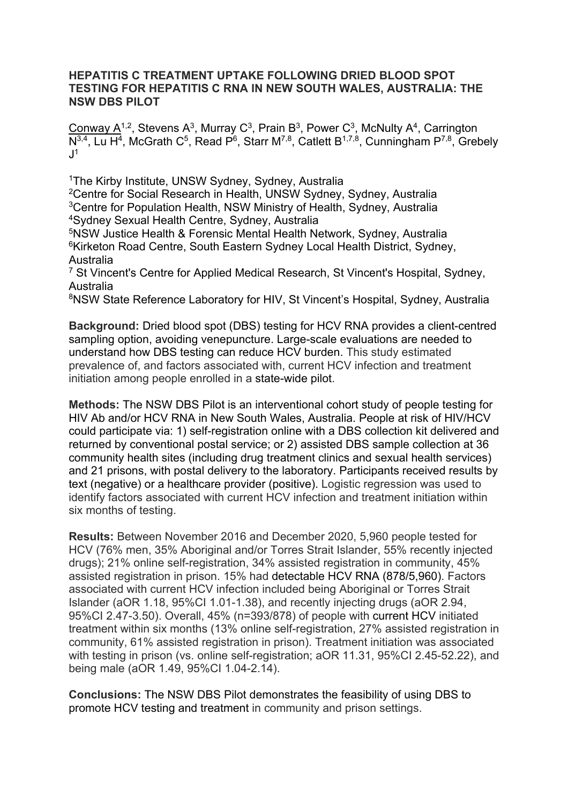## **HEPATITIS C TREATMENT UPTAKE FOLLOWING DRIED BLOOD SPOT TESTING FOR HEPATITIS C RNA IN NEW SOUTH WALES, AUSTRALIA: THE NSW DBS PILOT**

Conway  $A^{1,2}$ , Stevens A<sup>3</sup>, Murray C<sup>3</sup>, Prain B<sup>3</sup>, Power C<sup>3</sup>, McNulty A<sup>4</sup>, Carrington  $\overline{N^{3,4}$ , Lu H<sup>4</sup>, McGrath C<sup>5</sup>, Read P<sup>6</sup>, Starr M<sup>7,8</sup>, Catlett B<sup>1,7,8</sup>, Cunningham P<sup>7,8</sup>, Grebely  $J<sup>1</sup>$ 

1The Kirby Institute, UNSW Sydney, Sydney, Australia

2Centre for Social Research in Health, UNSW Sydney, Sydney, Australia 3Centre for Population Health, NSW Ministry of Health, Sydney, Australia 4Sydney Sexual Health Centre, Sydney, Australia

5NSW Justice Health & Forensic Mental Health Network, Sydney, Australia <sup>6</sup>Kirketon Road Centre, South Eastern Sydney Local Health District, Sydney, Australia

<sup>7</sup> St Vincent's Centre for Applied Medical Research, St Vincent's Hospital, Sydney, Australia

<sup>8</sup>NSW State Reference Laboratory for HIV, St Vincent's Hospital, Sydney, Australia

**Background:** Dried blood spot (DBS) testing for HCV RNA provides a client-centred sampling option, avoiding venepuncture. Large-scale evaluations are needed to understand how DBS testing can reduce HCV burden. This study estimated prevalence of, and factors associated with, current HCV infection and treatment initiation among people enrolled in a state-wide pilot.

**Methods:** The NSW DBS Pilot is an interventional cohort study of people testing for HIV Ab and/or HCV RNA in New South Wales, Australia. People at risk of HIV/HCV could participate via: 1) self-registration online with a DBS collection kit delivered and returned by conventional postal service; or 2) assisted DBS sample collection at 36 community health sites (including drug treatment clinics and sexual health services) and 21 prisons, with postal delivery to the laboratory. Participants received results by text (negative) or a healthcare provider (positive). Logistic regression was used to identify factors associated with current HCV infection and treatment initiation within six months of testing.

**Results:** Between November 2016 and December 2020, 5,960 people tested for HCV (76% men, 35% Aboriginal and/or Torres Strait Islander, 55% recently injected drugs); 21% online self-registration, 34% assisted registration in community, 45% assisted registration in prison. 15% had detectable HCV RNA (878/5,960). Factors associated with current HCV infection included being Aboriginal or Torres Strait Islander (aOR 1.18, 95%CI 1.01-1.38), and recently injecting drugs (aOR 2.94, 95%CI 2.47-3.50). Overall, 45% (n=393/878) of people with current HCV initiated treatment within six months (13% online self-registration, 27% assisted registration in community, 61% assisted registration in prison). Treatment initiation was associated with testing in prison (vs. online self-registration; aOR 11.31, 95%CI 2.45-52.22), and being male (aOR 1.49, 95%CI 1.04-2.14).

**Conclusions:** The NSW DBS Pilot demonstrates the feasibility of using DBS to promote HCV testing and treatment in community and prison settings.